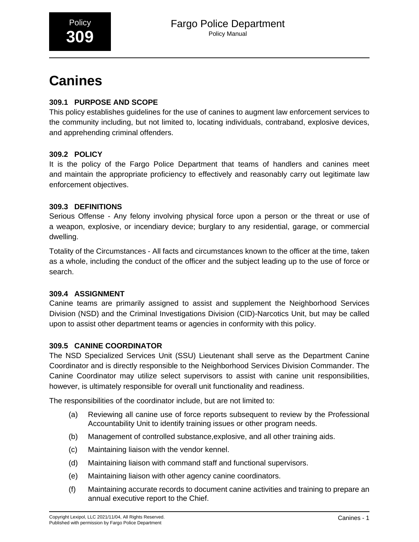# **Canines**

# **309.1 PURPOSE AND SCOPE**

This policy establishes guidelines for the use of canines to augment law enforcement services to the community including, but not limited to, locating individuals, contraband, explosive devices, and apprehending criminal offenders.

# **309.2 POLICY**

It is the policy of the Fargo Police Department that teams of handlers and canines meet and maintain the appropriate proficiency to effectively and reasonably carry out legitimate law enforcement objectives.

# **309.3 DEFINITIONS**

Serious Offense - Any felony involving physical force upon a person or the threat or use of a weapon, explosive, or incendiary device; burglary to any residential, garage, or commercial dwelling.

Totality of the Circumstances - All facts and circumstances known to the officer at the time, taken as a whole, including the conduct of the officer and the subject leading up to the use of force or search.

# **309.4 ASSIGNMENT**

Canine teams are primarily assigned to assist and supplement the Neighborhood Services Division (NSD) and the Criminal Investigations Division (CID)-Narcotics Unit, but may be called upon to assist other department teams or agencies in conformity with this policy.

# **309.5 CANINE COORDINATOR**

The NSD Specialized Services Unit (SSU) Lieutenant shall serve as the Department Canine Coordinator and is directly responsible to the Neighborhood Services Division Commander. The Canine Coordinator may utilize select supervisors to assist with canine unit responsibilities, however, is ultimately responsible for overall unit functionality and readiness.

The responsibilities of the coordinator include, but are not limited to:

- (a) Reviewing all canine use of force reports subsequent to review by the Professional Accountability Unit to identify training issues or other program needs.
- (b) Management of controlled substance,explosive, and all other training aids.
- (c) Maintaining liaison with the vendor kennel.
- (d) Maintaining liaison with command staff and functional supervisors.
- (e) Maintaining liaison with other agency canine coordinators.
- (f) Maintaining accurate records to document canine activities and training to prepare an annual executive report to the Chief.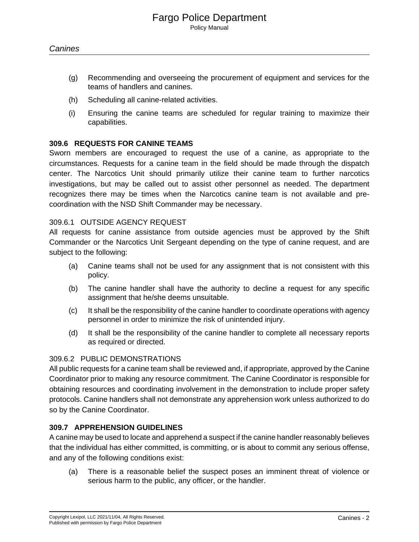- (g) Recommending and overseeing the procurement of equipment and services for the teams of handlers and canines.
- (h) Scheduling all canine-related activities.
- (i) Ensuring the canine teams are scheduled for regular training to maximize their capabilities.

#### **309.6 REQUESTS FOR CANINE TEAMS**

Sworn members are encouraged to request the use of a canine, as appropriate to the circumstances. Requests for a canine team in the field should be made through the dispatch center. The Narcotics Unit should primarily utilize their canine team to further narcotics investigations, but may be called out to assist other personnel as needed. The department recognizes there may be times when the Narcotics canine team is not available and precoordination with the NSD Shift Commander may be necessary.

## 309.6.1 OUTSIDE AGENCY REQUEST

All requests for canine assistance from outside agencies must be approved by the Shift Commander or the Narcotics Unit Sergeant depending on the type of canine request, and are subject to the following:

- (a) Canine teams shall not be used for any assignment that is not consistent with this policy.
- (b) The canine handler shall have the authority to decline a request for any specific assignment that he/she deems unsuitable.
- (c) It shall be the responsibility of the canine handler to coordinate operations with agency personnel in order to minimize the risk of unintended injury.
- (d) It shall be the responsibility of the canine handler to complete all necessary reports as required or directed.

#### 309.6.2 PUBLIC DEMONSTRATIONS

All public requests for a canine team shall be reviewed and, if appropriate, approved by the Canine Coordinator prior to making any resource commitment. The Canine Coordinator is responsible for obtaining resources and coordinating involvement in the demonstration to include proper safety protocols. Canine handlers shall not demonstrate any apprehension work unless authorized to do so by the Canine Coordinator.

## **309.7 APPREHENSION GUIDELINES**

A canine may be used to locate and apprehend a suspect if the canine handler reasonably believes that the individual has either committed, is committing, or is about to commit any serious offense, and any of the following conditions exist:

(a) There is a reasonable belief the suspect poses an imminent threat of violence or serious harm to the public, any officer, or the handler.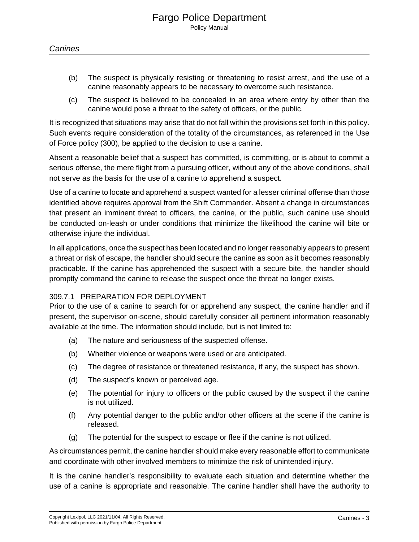- (b) The suspect is physically resisting or threatening to resist arrest, and the use of a canine reasonably appears to be necessary to overcome such resistance.
- (c) The suspect is believed to be concealed in an area where entry by other than the canine would pose a threat to the safety of officers, or the public.

It is recognized that situations may arise that do not fall within the provisions set forth in this policy. Such events require consideration of the totality of the circumstances, as referenced in the Use of Force policy (300), be applied to the decision to use a canine.

Absent a reasonable belief that a suspect has committed, is committing, or is about to commit a serious offense, the mere flight from a pursuing officer, without any of the above conditions, shall not serve as the basis for the use of a canine to apprehend a suspect.

Use of a canine to locate and apprehend a suspect wanted for a lesser criminal offense than those identified above requires approval from the Shift Commander. Absent a change in circumstances that present an imminent threat to officers, the canine, or the public, such canine use should be conducted on-leash or under conditions that minimize the likelihood the canine will bite or otherwise injure the individual.

In all applications, once the suspect has been located and no longer reasonably appears to present a threat or risk of escape, the handler should secure the canine as soon as it becomes reasonably practicable. If the canine has apprehended the suspect with a secure bite, the handler should promptly command the canine to release the suspect once the threat no longer exists.

## 309.7.1 PREPARATION FOR DEPLOYMENT

Prior to the use of a canine to search for or apprehend any suspect, the canine handler and if present, the supervisor on-scene, should carefully consider all pertinent information reasonably available at the time. The information should include, but is not limited to:

- (a) The nature and seriousness of the suspected offense.
- (b) Whether violence or weapons were used or are anticipated.
- (c) The degree of resistance or threatened resistance, if any, the suspect has shown.
- (d) The suspect's known or perceived age.
- (e) The potential for injury to officers or the public caused by the suspect if the canine is not utilized.
- (f) Any potential danger to the public and/or other officers at the scene if the canine is released.
- (g) The potential for the suspect to escape or flee if the canine is not utilized.

As circumstances permit, the canine handler should make every reasonable effort to communicate and coordinate with other involved members to minimize the risk of unintended injury.

It is the canine handler's responsibility to evaluate each situation and determine whether the use of a canine is appropriate and reasonable. The canine handler shall have the authority to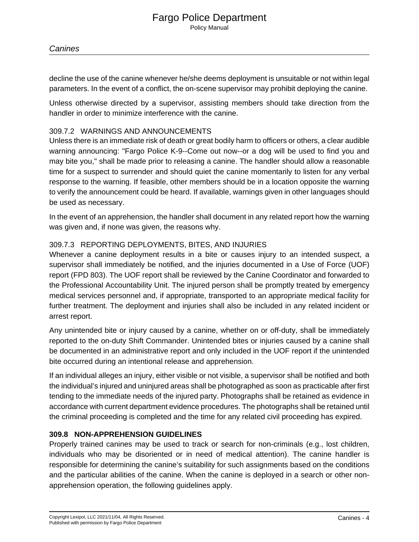decline the use of the canine whenever he/she deems deployment is unsuitable or not within legal parameters. In the event of a conflict, the on-scene supervisor may prohibit deploying the canine.

Unless otherwise directed by a supervisor, assisting members should take direction from the handler in order to minimize interference with the canine.

# 309.7.2 WARNINGS AND ANNOUNCEMENTS

Unless there is an immediate risk of death or great bodily harm to officers or others, a clear audible warning announcing: "Fargo Police K-9--Come out now--or a dog will be used to find you and may bite you," shall be made prior to releasing a canine. The handler should allow a reasonable time for a suspect to surrender and should quiet the canine momentarily to listen for any verbal response to the warning. If feasible, other members should be in a location opposite the warning to verify the announcement could be heard. If available, warnings given in other languages should be used as necessary.

In the event of an apprehension, the handler shall document in any related report how the warning was given and, if none was given, the reasons why.

# 309.7.3 REPORTING DEPLOYMENTS, BITES, AND INJURIES

Whenever a canine deployment results in a bite or causes injury to an intended suspect, a supervisor shall immediately be notified, and the injuries documented in a Use of Force (UOF) report (FPD 803). The UOF report shall be reviewed by the Canine Coordinator and forwarded to the Professional Accountability Unit. The injured person shall be promptly treated by emergency medical services personnel and, if appropriate, transported to an appropriate medical facility for further treatment. The deployment and injuries shall also be included in any related incident or arrest report.

Any unintended bite or injury caused by a canine, whether on or off-duty, shall be immediately reported to the on-duty Shift Commander. Unintended bites or injuries caused by a canine shall be documented in an administrative report and only included in the UOF report if the unintended bite occurred during an intentional release and apprehension.

If an individual alleges an injury, either visible or not visible, a supervisor shall be notified and both the individual's injured and uninjured areas shall be photographed as soon as practicable after first tending to the immediate needs of the injured party. Photographs shall be retained as evidence in accordance with current department evidence procedures. The photographs shall be retained until the criminal proceeding is completed and the time for any related civil proceeding has expired.

# **309.8 NON-APPREHENSION GUIDELINES**

Properly trained canines may be used to track or search for non-criminals (e.g., lost children, individuals who may be disoriented or in need of medical attention). The canine handler is responsible for determining the canine's suitability for such assignments based on the conditions and the particular abilities of the canine. When the canine is deployed in a search or other nonapprehension operation, the following guidelines apply.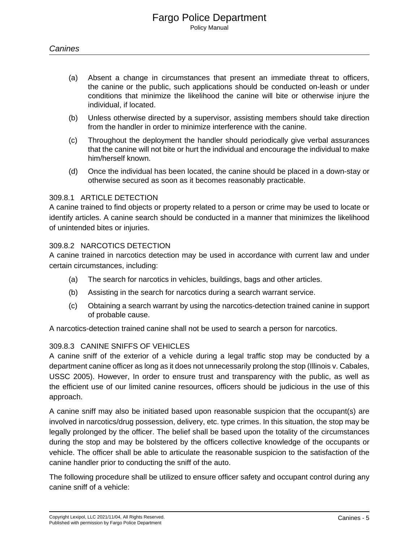- (a) Absent a change in circumstances that present an immediate threat to officers, the canine or the public, such applications should be conducted on-leash or under conditions that minimize the likelihood the canine will bite or otherwise injure the individual, if located.
- (b) Unless otherwise directed by a supervisor, assisting members should take direction from the handler in order to minimize interference with the canine.
- (c) Throughout the deployment the handler should periodically give verbal assurances that the canine will not bite or hurt the individual and encourage the individual to make him/herself known.
- (d) Once the individual has been located, the canine should be placed in a down-stay or otherwise secured as soon as it becomes reasonably practicable.

#### 309.8.1 ARTICLE DETECTION

A canine trained to find objects or property related to a person or crime may be used to locate or identify articles. A canine search should be conducted in a manner that minimizes the likelihood of unintended bites or injuries.

#### 309.8.2 NARCOTICS DETECTION

A canine trained in narcotics detection may be used in accordance with current law and under certain circumstances, including:

- (a) The search for narcotics in vehicles, buildings, bags and other articles.
- (b) Assisting in the search for narcotics during a search warrant service.
- (c) Obtaining a search warrant by using the narcotics-detection trained canine in support of probable cause.

A narcotics-detection trained canine shall not be used to search a person for narcotics.

## 309.8.3 CANINE SNIFFS OF VEHICLES

A canine sniff of the exterior of a vehicle during a legal traffic stop may be conducted by a department canine officer as long as it does not unnecessarily prolong the stop (Illinois v. Cabales, USSC 2005). However, In order to ensure trust and transparency with the public, as well as the efficient use of our limited canine resources, officers should be judicious in the use of this approach.

A canine sniff may also be initiated based upon reasonable suspicion that the occupant(s) are involved in narcotics/drug possession, delivery, etc. type crimes. In this situation, the stop may be legally prolonged by the officer. The belief shall be based upon the totality of the circumstances during the stop and may be bolstered by the officers collective knowledge of the occupants or vehicle. The officer shall be able to articulate the reasonable suspicion to the satisfaction of the canine handler prior to conducting the sniff of the auto.

The following procedure shall be utilized to ensure officer safety and occupant control during any canine sniff of a vehicle: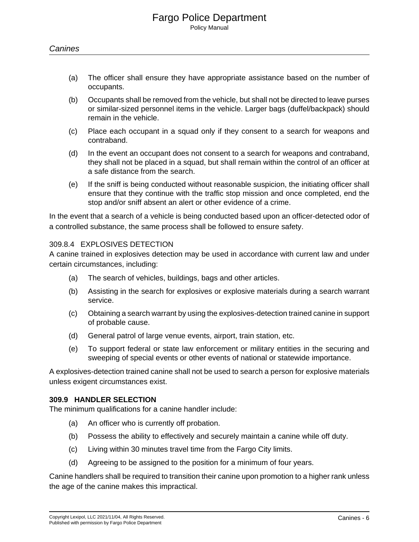- (a) The officer shall ensure they have appropriate assistance based on the number of occupants.
- (b) Occupants shall be removed from the vehicle, but shall not be directed to leave purses or similar-sized personnel items in the vehicle. Larger bags (duffel/backpack) should remain in the vehicle.
- (c) Place each occupant in a squad only if they consent to a search for weapons and contraband.
- (d) In the event an occupant does not consent to a search for weapons and contraband, they shall not be placed in a squad, but shall remain within the control of an officer at a safe distance from the search.
- (e) If the sniff is being conducted without reasonable suspicion, the initiating officer shall ensure that they continue with the traffic stop mission and once completed, end the stop and/or sniff absent an alert or other evidence of a crime.

In the event that a search of a vehicle is being conducted based upon an officer-detected odor of a controlled substance, the same process shall be followed to ensure safety.

#### 309.8.4 EXPLOSIVES DETECTION

A canine trained in explosives detection may be used in accordance with current law and under certain circumstances, including:

- (a) The search of vehicles, buildings, bags and other articles.
- (b) Assisting in the search for explosives or explosive materials during a search warrant service.
- (c) Obtaining a search warrant by using the explosives-detection trained canine in support of probable cause.
- (d) General patrol of large venue events, airport, train station, etc.
- (e) To support federal or state law enforcement or military entities in the securing and sweeping of special events or other events of national or statewide importance.

A explosives-detection trained canine shall not be used to search a person for explosive materials unless exigent circumstances exist.

#### **309.9 HANDLER SELECTION**

The minimum qualifications for a canine handler include:

- (a) An officer who is currently off probation.
- (b) Possess the ability to effectively and securely maintain a canine while off duty.
- (c) Living within 30 minutes travel time from the Fargo City limits.
- (d) Agreeing to be assigned to the position for a minimum of four years.

Canine handlers shall be required to transition their canine upon promotion to a higher rank unless the age of the canine makes this impractical.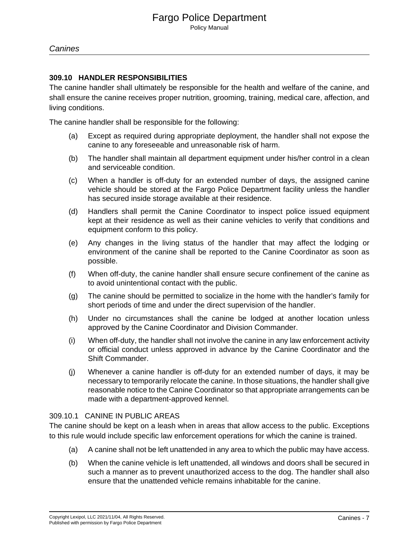## **309.10 HANDLER RESPONSIBILITIES**

The canine handler shall ultimately be responsible for the health and welfare of the canine, and shall ensure the canine receives proper nutrition, grooming, training, medical care, affection, and living conditions.

The canine handler shall be responsible for the following:

- (a) Except as required during appropriate deployment, the handler shall not expose the canine to any foreseeable and unreasonable risk of harm.
- (b) The handler shall maintain all department equipment under his/her control in a clean and serviceable condition.
- (c) When a handler is off-duty for an extended number of days, the assigned canine vehicle should be stored at the Fargo Police Department facility unless the handler has secured inside storage available at their residence.
- (d) Handlers shall permit the Canine Coordinator to inspect police issued equipment kept at their residence as well as their canine vehicles to verify that conditions and equipment conform to this policy.
- (e) Any changes in the living status of the handler that may affect the lodging or environment of the canine shall be reported to the Canine Coordinator as soon as possible.
- (f) When off-duty, the canine handler shall ensure secure confinement of the canine as to avoid unintentional contact with the public.
- (g) The canine should be permitted to socialize in the home with the handler's family for short periods of time and under the direct supervision of the handler.
- (h) Under no circumstances shall the canine be lodged at another location unless approved by the Canine Coordinator and Division Commander.
- (i) When off-duty, the handler shall not involve the canine in any law enforcement activity or official conduct unless approved in advance by the Canine Coordinator and the Shift Commander.
- (j) Whenever a canine handler is off-duty for an extended number of days, it may be necessary to temporarily relocate the canine. In those situations, the handler shall give reasonable notice to the Canine Coordinator so that appropriate arrangements can be made with a department-approved kennel.

#### 309.10.1 CANINE IN PUBLIC AREAS

The canine should be kept on a leash when in areas that allow access to the public. Exceptions to this rule would include specific law enforcement operations for which the canine is trained.

- (a) A canine shall not be left unattended in any area to which the public may have access.
- (b) When the canine vehicle is left unattended, all windows and doors shall be secured in such a manner as to prevent unauthorized access to the dog. The handler shall also ensure that the unattended vehicle remains inhabitable for the canine.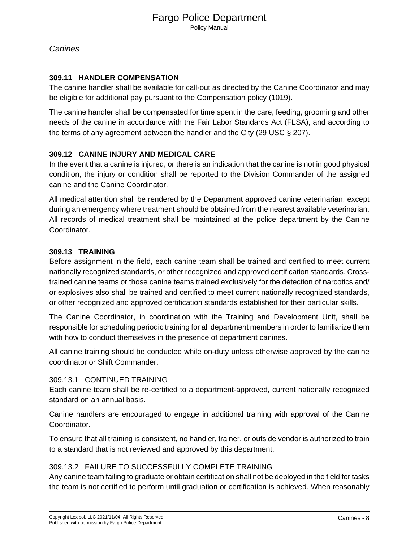## **309.11 HANDLER COMPENSATION**

The canine handler shall be available for call-out as directed by the Canine Coordinator and may be eligible for additional pay pursuant to the Compensation policy (1019).

The canine handler shall be compensated for time spent in the care, feeding, grooming and other needs of the canine in accordance with the Fair Labor Standards Act (FLSA), and according to the terms of any agreement between the handler and the City (29 USC § 207).

# **309.12 CANINE INJURY AND MEDICAL CARE**

In the event that a canine is injured, or there is an indication that the canine is not in good physical condition, the injury or condition shall be reported to the Division Commander of the assigned canine and the Canine Coordinator.

All medical attention shall be rendered by the Department approved canine veterinarian, except during an emergency where treatment should be obtained from the nearest available veterinarian. All records of medical treatment shall be maintained at the police department by the Canine Coordinator.

# **309.13 TRAINING**

Before assignment in the field, each canine team shall be trained and certified to meet current nationally recognized standards, or other recognized and approved certification standards. Crosstrained canine teams or those canine teams trained exclusively for the detection of narcotics and/ or explosives also shall be trained and certified to meet current nationally recognized standards, or other recognized and approved certification standards established for their particular skills.

The Canine Coordinator, in coordination with the Training and Development Unit, shall be responsible for scheduling periodic training for all department members in order to familiarize them with how to conduct themselves in the presence of department canines.

All canine training should be conducted while on-duty unless otherwise approved by the canine coordinator or Shift Commander.

## 309.13.1 CONTINUED TRAINING

Each canine team shall be re-certified to a department-approved, current nationally recognized standard on an annual basis.

Canine handlers are encouraged to engage in additional training with approval of the Canine Coordinator.

To ensure that all training is consistent, no handler, trainer, or outside vendor is authorized to train to a standard that is not reviewed and approved by this department.

## 309.13.2 FAILURE TO SUCCESSFULLY COMPLETE TRAINING

Any canine team failing to graduate or obtain certification shall not be deployed in the field for tasks the team is not certified to perform until graduation or certification is achieved. When reasonably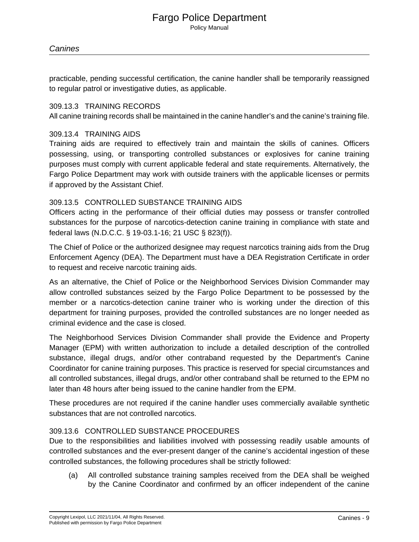practicable, pending successful certification, the canine handler shall be temporarily reassigned to regular patrol or investigative duties, as applicable.

#### 309.13.3 TRAINING RECORDS

All canine training records shall be maintained in the canine handler's and the canine's training file.

#### 309.13.4 TRAINING AIDS

Training aids are required to effectively train and maintain the skills of canines. Officers possessing, using, or transporting controlled substances or explosives for canine training purposes must comply with current applicable federal and state requirements. Alternatively, the Fargo Police Department may work with outside trainers with the applicable licenses or permits if approved by the Assistant Chief.

#### 309.13.5 CONTROLLED SUBSTANCE TRAINING AIDS

Officers acting in the performance of their official duties may possess or transfer controlled substances for the purpose of narcotics-detection canine training in compliance with state and federal laws (N.D.C.C. § 19-03.1-16; 21 USC § 823(f)).

The Chief of Police or the authorized designee may request narcotics training aids from the Drug Enforcement Agency (DEA). The Department must have a DEA Registration Certificate in order to request and receive narcotic training aids.

As an alternative, the Chief of Police or the Neighborhood Services Division Commander may allow controlled substances seized by the Fargo Police Department to be possessed by the member or a narcotics-detection canine trainer who is working under the direction of this department for training purposes, provided the controlled substances are no longer needed as criminal evidence and the case is closed.

The Neighborhood Services Division Commander shall provide the Evidence and Property Manager (EPM) with written authorization to include a detailed description of the controlled substance, illegal drugs, and/or other contraband requested by the Department's Canine Coordinator for canine training purposes. This practice is reserved for special circumstances and all controlled substances, illegal drugs, and/or other contraband shall be returned to the EPM no later than 48 hours after being issued to the canine handler from the EPM.

These procedures are not required if the canine handler uses commercially available synthetic substances that are not controlled narcotics.

## 309.13.6 CONTROLLED SUBSTANCE PROCEDURES

Due to the responsibilities and liabilities involved with possessing readily usable amounts of controlled substances and the ever-present danger of the canine's accidental ingestion of these controlled substances, the following procedures shall be strictly followed:

(a) All controlled substance training samples received from the DEA shall be weighed by the Canine Coordinator and confirmed by an officer independent of the canine